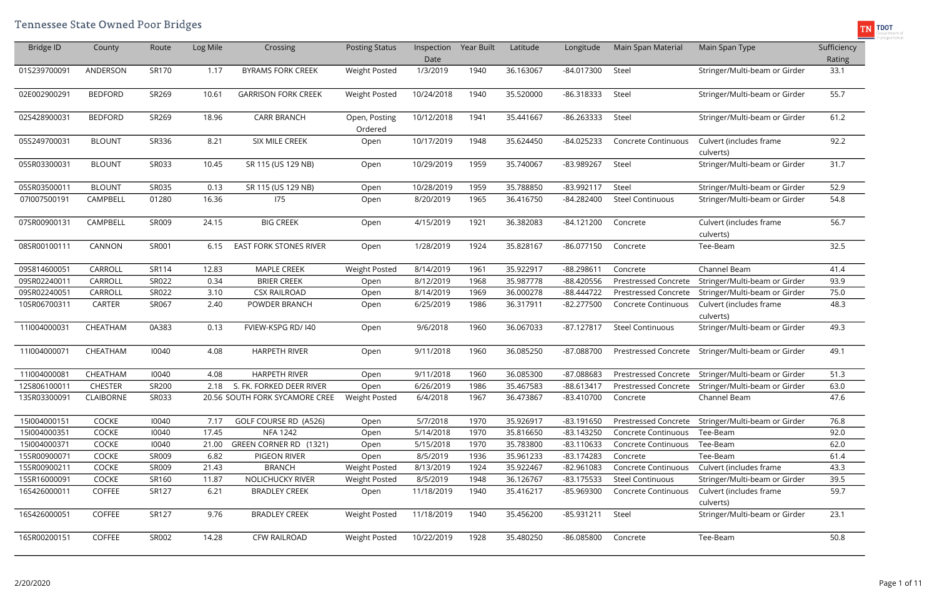| <b>Bridge ID</b> | County           | Route | Log Mile | Crossing                       | <b>Posting Status</b>    | Inspection<br>Date | Year Built | Latitude  | Longitude    | Main Span Material          | Main Span Type                                     | Sufficiency<br>Rating |
|------------------|------------------|-------|----------|--------------------------------|--------------------------|--------------------|------------|-----------|--------------|-----------------------------|----------------------------------------------------|-----------------------|
| 01S239700091     | ANDERSON         | SR170 | 1.17     | <b>BYRAMS FORK CREEK</b>       | <b>Weight Posted</b>     | 1/3/2019           | 1940       | 36.163067 | -84.017300   | Steel                       | Stringer/Multi-beam or Girder                      | 33.1                  |
| 02E002900291     | <b>BEDFORD</b>   | SR269 | 10.61    | <b>GARRISON FORK CREEK</b>     | <b>Weight Posted</b>     | 10/24/2018         | 1940       | 35.520000 | -86.318333   | Steel                       | Stringer/Multi-beam or Girder                      | 55.7                  |
| 02S428900031     | <b>BEDFORD</b>   | SR269 | 18.96    | <b>CARR BRANCH</b>             | Open, Posting<br>Ordered | 10/12/2018         | 1941       | 35.441667 | $-86.263333$ | Steel                       | Stringer/Multi-beam or Girder                      | 61.2                  |
| 05S249700031     | <b>BLOUNT</b>    | SR336 | 8.21     | SIX MILE CREEK                 | Open                     | 10/17/2019         | 1948       | 35.624450 | -84.025233   | <b>Concrete Continuous</b>  | Culvert (includes frame<br>culverts)               | 92.2                  |
| 05SR03300031     | <b>BLOUNT</b>    | SR033 | 10.45    | SR 115 (US 129 NB)             | Open                     | 10/29/2019         | 1959       | 35.740067 | -83.989267   | Steel                       | Stringer/Multi-beam or Girder                      | 31.7                  |
| 05SR03500011     | <b>BLOUNT</b>    | SR035 | 0.13     | SR 115 (US 129 NB)             | Open                     | 10/28/2019         | 1959       | 35.788850 | -83.992117   | Steel                       | Stringer/Multi-beam or Girder                      | 52.9                  |
| 07l007500191     | CAMPBELL         | 01280 | 16.36    | 175                            | Open                     | 8/20/2019          | 1965       | 36.416750 | -84.282400   | <b>Steel Continuous</b>     | Stringer/Multi-beam or Girder                      | 54.8                  |
| 07SR00900131     | CAMPBELL         | SR009 | 24.15    | <b>BIG CREEK</b>               | Open                     | 4/15/2019          | 1921       | 36.382083 | $-84.121200$ | Concrete                    | Culvert (includes frame<br>culverts)               | 56.7                  |
| 08SR00100111     | CANNON           | SR001 | 6.15     | <b>EAST FORK STONES RIVER</b>  | Open                     | 1/28/2019          | 1924       | 35.828167 | $-86.077150$ | Concrete                    | Tee-Beam                                           | 32.5                  |
| 09S814600051     | CARROLL          | SR114 | 12.83    | <b>MAPLE CREEK</b>             | <b>Weight Posted</b>     | 8/14/2019          | 1961       | 35.922917 | -88.298611   | Concrete                    | Channel Beam                                       | 41.4                  |
| 09SR02240011     | CARROLL          | SR022 | 0.34     | <b>BRIER CREEK</b>             | Open                     | 8/12/2019          | 1968       | 35.987778 | -88.420556   | <b>Prestressed Concrete</b> | Stringer/Multi-beam or Girder                      | 93.9                  |
| 09SR02240051     | CARROLL          | SR022 | 3.10     | <b>CSX RAILROAD</b>            | Open                     | 8/14/2019          | 1969       | 36.000278 | -88.444722   | <b>Prestressed Concrete</b> | Stringer/Multi-beam or Girder                      | 75.0                  |
| 10SR06700311     | <b>CARTER</b>    | SR067 | 2.40     | POWDER BRANCH                  | Open                     | 6/25/2019          | 1986       | 36.317911 | $-82.277500$ | Concrete Continuous         | Culvert (includes frame<br>culverts)               | 48.3                  |
| 11l004000031     | CHEATHAM         | 0A383 | 0.13     | FVIEW-KSPG RD/ 140             | Open                     | 9/6/2018           | 1960       | 36.067033 | $-87.127817$ | <b>Steel Continuous</b>     | Stringer/Multi-beam or Girder                      | 49.3                  |
| 11l004000071     | CHEATHAM         | 10040 | 4.08     | <b>HARPETH RIVER</b>           | Open                     | 9/11/2018          | 1960       | 36.085250 | -87.088700   | <b>Prestressed Concrete</b> | Stringer/Multi-beam or Girder                      | 49.1                  |
| 11l004000081     | CHEATHAM         | 10040 | 4.08     | <b>HARPETH RIVER</b>           | Open                     | 9/11/2018          | 1960       | 36.085300 | -87.088683   |                             | Prestressed Concrete Stringer/Multi-beam or Girder | 51.3                  |
| 12S806100011     | <b>CHESTER</b>   | SR200 |          | 2.18 S. FK. FORKED DEER RIVER  | Open                     | 6/26/2019          | 1986       | 35.467583 | -88.613417   |                             | Prestressed Concrete Stringer/Multi-beam or Girder | 63.0                  |
| 13SR03300091     | <b>CLAIBORNE</b> | SR033 |          | 20.56 SOUTH FORK SYCAMORE CREE | <b>Weight Posted</b>     | 6/4/2018           | 1967       | 36.473867 | -83.410700   | Concrete                    | Channel Beam                                       | 47.6                  |
| 151004000151     | COCKE            | 10040 | 7.17     | GOLF COURSE RD (A526)          | Open                     | 5/7/2018           | 1970       | 35.926917 | $-83.191650$ | Prestressed Concrete        | Stringer/Multi-beam or Girder                      | 76.8                  |
| 151004000351     | COCKE            | 10040 | 17.45    | <b>NFA 1242</b>                | Open                     | 5/14/2018          | 1970       | 35.816650 | -83.143250   | Concrete Continuous         | Tee-Beam                                           | 92.0                  |
| 151004000371     | COCKE            | 10040 | 21.00    | GREEN CORNER RD (1321)         | Open                     | 5/15/2018          | 1970       | 35.783800 | -83.110633   | Concrete Continuous         | Tee-Beam                                           | 62.0                  |
| 15SR00900071     | COCKE            | SR009 | 6.82     | PIGEON RIVER                   | Open                     | 8/5/2019           | 1936       | 35.961233 | $-83.174283$ | Concrete                    | Tee-Beam                                           | 61.4                  |
| 15SR00900211     | COCKE            | SR009 | 21.43    | <b>BRANCH</b>                  | <b>Weight Posted</b>     | 8/13/2019          | 1924       | 35.922467 | -82.961083   | Concrete Continuous         | Culvert (includes frame                            | 43.3                  |
| 15SR16000091     | COCKE            | SR160 | 11.87    | <b>NOLICHUCKY RIVER</b>        | Weight Posted            | 8/5/2019           | 1948       | 36.126767 | -83.175533   | <b>Steel Continuous</b>     | Stringer/Multi-beam or Girder                      | 39.5                  |
| 16S426000011     | <b>COFFEE</b>    | SR127 | 6.21     | <b>BRADLEY CREEK</b>           | Open                     | 11/18/2019         | 1940       | 35.416217 | -85.969300   | Concrete Continuous         | Culvert (includes frame<br>culverts)               | 59.7                  |
| 16S426000051     | COFFEE           | SR127 | 9.76     | <b>BRADLEY CREEK</b>           | <b>Weight Posted</b>     | 11/18/2019         | 1940       | 35.456200 | -85.931211   | Steel                       | Stringer/Multi-beam or Girder                      | 23.1                  |
| 16SR00200151     | COFFEE           | SR002 | 14.28    | <b>CFW RAILROAD</b>            | <b>Weight Posted</b>     | 10/22/2019         | 1928       | 35.480250 | -86.085800   | Concrete                    | Tee-Beam                                           | 50.8                  |

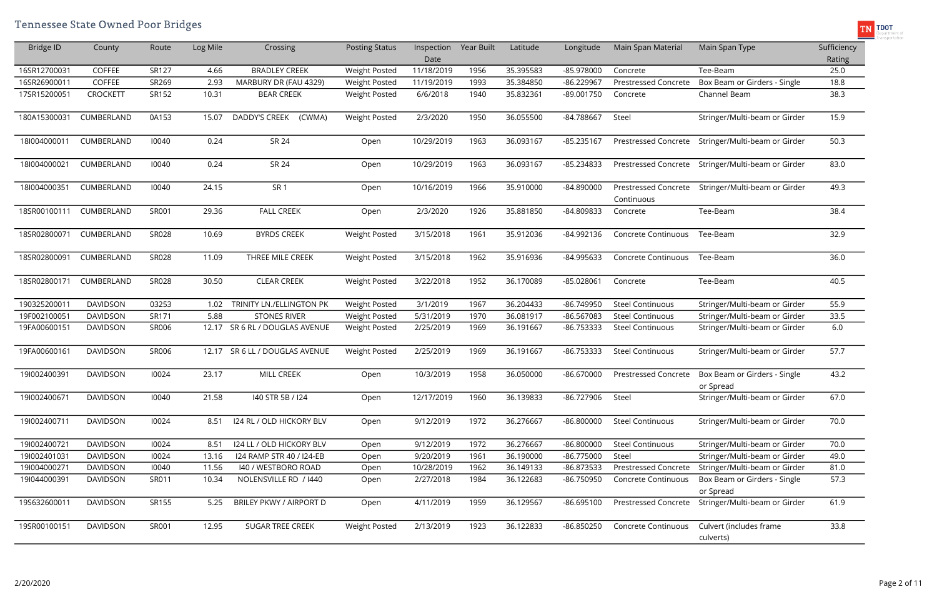| <b>Bridge ID</b> | County          | Route | Log Mile | Crossing                       | <b>Posting Status</b> | Inspection<br>Date | <b>Year Built</b> | Latitude  | Longitude    | Main Span Material                        | Main Span Type                            | Sufficiency<br>Rating |
|------------------|-----------------|-------|----------|--------------------------------|-----------------------|--------------------|-------------------|-----------|--------------|-------------------------------------------|-------------------------------------------|-----------------------|
| 16SR12700031     | <b>COFFEE</b>   | SR127 | 4.66     | <b>BRADLEY CREEK</b>           | Weight Posted         | 11/18/2019         | 1956              | 35.395583 | -85.978000   | Concrete                                  | Tee-Beam                                  | 25.0                  |
| 16SR26900011     | <b>COFFEE</b>   | SR269 | 2.93     | MARBURY DR (FAU 4329)          | <b>Weight Posted</b>  | 11/19/2019         | 1993              | 35.384850 | -86.229967   | <b>Prestressed Concrete</b>               | Box Beam or Girders - Single              | 18.8                  |
| 17SR15200051     | <b>CROCKETT</b> | SR152 | 10.31    | <b>BEAR CREEK</b>              | Weight Posted         | 6/6/2018           | 1940              | 35.832361 | -89.001750   | Concrete                                  | Channel Beam                              | 38.3                  |
| 180A15300031     | CUMBERLAND      | 0A153 | 15.07    | DADDY'S CREEK<br>(CWMA)        | <b>Weight Posted</b>  | 2/3/2020           | 1950              | 36.055500 | -84.788667   | Steel                                     | Stringer/Multi-beam or Girder             | 15.9                  |
| 181004000011     | CUMBERLAND      | 10040 | 0.24     | SR 24                          | Open                  | 10/29/2019         | 1963              | 36.093167 | $-85.235167$ | <b>Prestressed Concrete</b>               | Stringer/Multi-beam or Girder             | 50.3                  |
| 181004000021     | CUMBERLAND      | 10040 | 0.24     | SR 24                          | Open                  | 10/29/2019         | 1963              | 36.093167 | $-85.234833$ | <b>Prestressed Concrete</b>               | Stringer/Multi-beam or Girder             | 83.0                  |
| 181004000351     | CUMBERLAND      | 10040 | 24.15    | SR <sub>1</sub>                | Open                  | 10/16/2019         | 1966              | 35.910000 | -84.890000   | <b>Prestressed Concrete</b><br>Continuous | Stringer/Multi-beam or Girder             | 49.3                  |
| 18SR00100111     | CUMBERLAND      | SR001 | 29.36    | <b>FALL CREEK</b>              | Open                  | 2/3/2020           | 1926              | 35.881850 | -84.809833   | Concrete                                  | Tee-Beam                                  | 38.4                  |
| 18SR02800071     | CUMBERLAND      | SR028 | 10.69    | <b>BYRDS CREEK</b>             | <b>Weight Posted</b>  | 3/15/2018          | 1961              | 35.912036 | -84.992136   | Concrete Continuous                       | Tee-Beam                                  | 32.9                  |
| 18SR02800091     | CUMBERLAND      | SR028 | 11.09    | THREE MILE CREEK               | Weight Posted         | 3/15/2018          | 1962              | 35.916936 | -84.995633   | Concrete Continuous                       | Tee-Beam                                  | 36.0                  |
| 18SR02800171     | CUMBERLAND      | SR028 | 30.50    | <b>CLEAR CREEK</b>             | Weight Posted         | 3/22/2018          | 1952              | 36.170089 | -85.028061   | Concrete                                  | Tee-Beam                                  | 40.5                  |
| 190325200011     | <b>DAVIDSON</b> | 03253 | 1.02     | TRINITY LN./ELLINGTON PK       | <b>Weight Posted</b>  | 3/1/2019           | 1967              | 36.204433 | -86.749950   | <b>Steel Continuous</b>                   | Stringer/Multi-beam or Girder             | 55.9                  |
| 19F002100051     | <b>DAVIDSON</b> | SR171 | 5.88     | <b>STONES RIVER</b>            | <b>Weight Posted</b>  | 5/31/2019          | 1970              | 36.081917 | -86.567083   | <b>Steel Continuous</b>                   | Stringer/Multi-beam or Girder             | 33.5                  |
| 19FA00600151     | <b>DAVIDSON</b> | SR006 | 12.17    | SR 6 RL / DOUGLAS AVENUE       | <b>Weight Posted</b>  | 2/25/2019          | 1969              | 36.191667 | -86.753333   | <b>Steel Continuous</b>                   | Stringer/Multi-beam or Girder             | 6.0                   |
| 19FA00600161     | <b>DAVIDSON</b> | SR006 |          | 12.17 SR 6 LL / DOUGLAS AVENUE | <b>Weight Posted</b>  | 2/25/2019          | 1969              | 36.191667 | -86.753333   | <b>Steel Continuous</b>                   | Stringer/Multi-beam or Girder             | 57.7                  |
| 191002400391     | <b>DAVIDSON</b> | 10024 | 23.17    | MILL CREEK                     | Open                  | 10/3/2019          | 1958              | 36.050000 | -86.670000   | Prestressed Concrete                      | Box Beam or Girders - Single<br>or Spread | 43.2                  |
| 191002400671     | <b>DAVIDSON</b> | 10040 | 21.58    | 140 STR 5B / 124               | Open                  | 12/17/2019         | 1960              | 36.139833 | -86.727906   | Steel                                     | Stringer/Multi-beam or Girder             | 67.0                  |
| 191002400711     | <b>DAVIDSON</b> | 10024 | 8.51     | 124 RL / OLD HICKORY BLV       | Open                  | 9/12/2019          | 1972              | 36.276667 | $-86.800000$ | <b>Steel Continuous</b>                   | Stringer/Multi-beam or Girder             | 70.0                  |
| 191002400721     | <b>DAVIDSON</b> | 10024 | 8.51     | 124 LL / OLD HICKORY BLV       | Open                  | 9/12/2019          | 1972              | 36.276667 | $-86.800000$ | <b>Steel Continuous</b>                   | Stringer/Multi-beam or Girder             | 70.0                  |
| 191002401031     | <b>DAVIDSON</b> | 10024 | 13.16    | 124 RAMP STR 40 / 124-EB       | Open                  | 9/20/2019          | 1961              | 36.190000 | -86.775000   | Steel                                     | Stringer/Multi-beam or Girder             | 49.0                  |
| 191004000271     | <b>DAVIDSON</b> | 10040 | 11.56    | 140 / WESTBORO ROAD            | Open                  | 10/28/2019         | 1962              | 36.149133 | -86.873533   | <b>Prestressed Concrete</b>               | Stringer/Multi-beam or Girder             | 81.0                  |
| 191044000391     | <b>DAVIDSON</b> | SR011 | 10.34    | NOLENSVILLE RD / 1440          | Open                  | 2/27/2018          | 1984              | 36.122683 | -86.750950   | Concrete Continuous                       | Box Beam or Girders - Single<br>or Spread | 57.3                  |
| 19S632600011     | <b>DAVIDSON</b> | SR155 | 5.25     | BRILEY PKWY / AIRPORT D        | Open                  | 4/11/2019          | 1959              | 36.129567 | -86.695100   | <b>Prestressed Concrete</b>               | Stringer/Multi-beam or Girder             | 61.9                  |
| 19SR00100151     | <b>DAVIDSON</b> | SR001 | 12.95    | <b>SUGAR TREE CREEK</b>        | <b>Weight Posted</b>  | 2/13/2019          | 1923              | 36.122833 | -86.850250   | Concrete Continuous                       | Culvert (includes frame<br>culverts)      | 33.8                  |

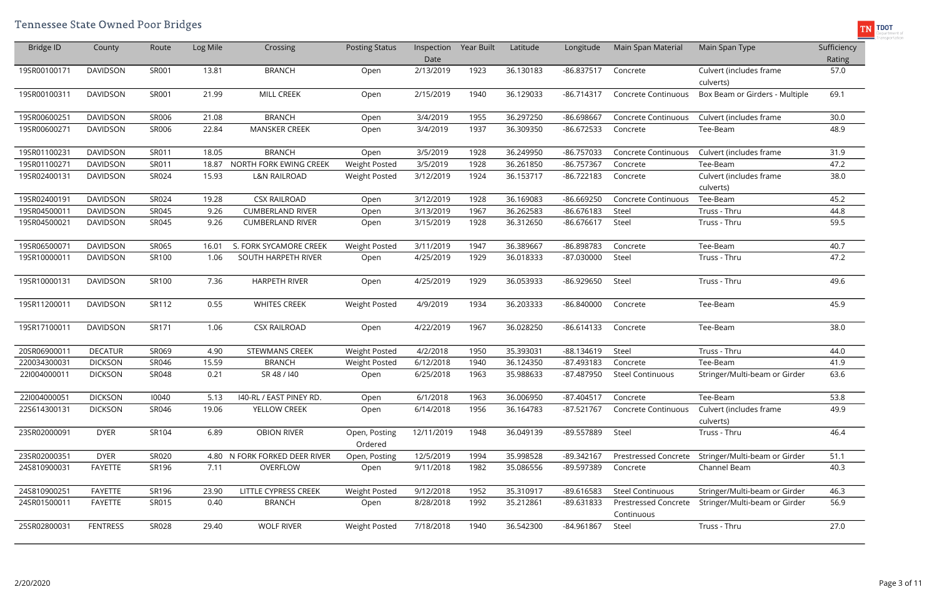| <b>Bridge ID</b> | County          | Route | Log Mile | Crossing                      | <b>Posting Status</b>    | Inspection<br>Date | Year Built | Latitude  | Longitude    | Main Span Material                        | Main Span Type                       | Sufficiency<br>Rating |
|------------------|-----------------|-------|----------|-------------------------------|--------------------------|--------------------|------------|-----------|--------------|-------------------------------------------|--------------------------------------|-----------------------|
| 19SR00100171     | <b>DAVIDSON</b> | SR001 | 13.81    | <b>BRANCH</b>                 | Open                     | 2/13/2019          | 1923       | 36.130183 | -86.837517   | Concrete                                  | Culvert (includes frame              | 57.0                  |
|                  |                 |       |          |                               |                          |                    |            |           |              |                                           | culverts)                            |                       |
| 19SR00100311     | <b>DAVIDSON</b> | SR001 | 21.99    | MILL CREEK                    | Open                     | 2/15/2019          | 1940       | 36.129033 | $-86.714317$ | <b>Concrete Continuous</b>                | Box Beam or Girders - Multiple       | 69.1                  |
| 19SR00600251     | <b>DAVIDSON</b> | SR006 | 21.08    | <b>BRANCH</b>                 | Open                     | 3/4/2019           | 1955       | 36.297250 | -86.698667   | <b>Concrete Continuous</b>                | Culvert (includes frame              | 30.0                  |
| 19SR00600271     | <b>DAVIDSON</b> | SR006 | 22.84    | <b>MANSKER CREEK</b>          | Open                     | 3/4/2019           | 1937       | 36.309350 | -86.672533   | Concrete                                  | Tee-Beam                             | 48.9                  |
| 19SR01100231     | <b>DAVIDSON</b> | SR011 | 18.05    | <b>BRANCH</b>                 | Open                     | 3/5/2019           | 1928       | 36.249950 | -86.757033   | <b>Concrete Continuous</b>                | Culvert (includes frame              | 31.9                  |
| 19SR01100271     | <b>DAVIDSON</b> | SR011 | 18.87    | NORTH FORK EWING CREEK        | <b>Weight Posted</b>     | 3/5/2019           | 1928       | 36.261850 | -86.757367   | Concrete                                  | Tee-Beam                             | 47.2                  |
| 19SR02400131     | <b>DAVIDSON</b> | SR024 | 15.93    | <b>L&amp;N RAILROAD</b>       | <b>Weight Posted</b>     | 3/12/2019          | 1924       | 36.153717 | $-86.722183$ | Concrete                                  | Culvert (includes frame<br>culverts) | 38.0                  |
| 19SR02400191     | <b>DAVIDSON</b> | SR024 | 19.28    | <b>CSX RAILROAD</b>           | Open                     | 3/12/2019          | 1928       | 36.169083 | -86.669250   | Concrete Continuous                       | Tee-Beam                             | 45.2                  |
| 19SR0450001      | <b>DAVIDSON</b> | SR045 | 9.26     | <b>CUMBERLAND RIVER</b>       | Open                     | 3/13/2019          | 1967       | 36.262583 | -86.676183   | Steel                                     | Truss - Thru                         | 44.8                  |
| 19SR04500021     | <b>DAVIDSON</b> | SR045 | 9.26     | <b>CUMBERLAND RIVER</b>       | Open                     | 3/15/2019          | 1928       | 36.312650 | -86.676617   | Steel                                     | Truss - Thru                         | 59.5                  |
| 19SR06500071     | <b>DAVIDSON</b> | SR065 | 16.01    | S. FORK SYCAMORE CREEK        | <b>Weight Posted</b>     | 3/11/2019          | 1947       | 36.389667 | -86.898783   | Concrete                                  | Tee-Beam                             | 40.7                  |
| 19SR10000011     | <b>DAVIDSON</b> | SR100 | 1.06     | <b>SOUTH HARPETH RIVER</b>    | Open                     | 4/25/2019          | 1929       | 36.018333 | -87.030000   | Steel                                     | Truss - Thru                         | 47.2                  |
| 19SR10000131     | <b>DAVIDSON</b> | SR100 | 7.36     | <b>HARPETH RIVER</b>          | Open                     | 4/25/2019          | 1929       | 36.053933 | -86.929650   | Steel                                     | Truss - Thru                         | 49.6                  |
| 19SR11200011     | <b>DAVIDSON</b> | SR112 | 0.55     | <b>WHITES CREEK</b>           | <b>Weight Posted</b>     | 4/9/2019           | 1934       | 36.203333 | $-86.840000$ | Concrete                                  | Tee-Beam                             | 45.9                  |
| 19SR17100011     | <b>DAVIDSON</b> | SR171 | 1.06     | <b>CSX RAILROAD</b>           | Open                     | 4/22/2019          | 1967       | 36.028250 | $-86.614133$ | Concrete                                  | Tee-Beam                             | 38.0                  |
| 20SR06900011     | <b>DECATUR</b>  | SR069 | 4.90     | <b>STEWMANS CREEK</b>         | <b>Weight Posted</b>     | 4/2/2018           | 1950       | 35.393031 | -88.134619   | Steel                                     | Truss - Thru                         | 44.0                  |
| 220034300031     | <b>DICKSON</b>  | SR046 | 15.59    | <b>BRANCH</b>                 | <b>Weight Posted</b>     | 6/12/2018          | 1940       | 36.124350 | -87.493183   | Concrete                                  | Tee-Beam                             | 41.9                  |
| 221004000011     | <b>DICKSON</b>  | SR048 | 0.21     | SR 48 / 140                   | Open                     | 6/25/2018          | 1963       | 35.988633 | -87.487950   | <b>Steel Continuous</b>                   | Stringer/Multi-beam or Girder        | 63.6                  |
| 22l004000051     | <b>DICKSON</b>  | 10040 | 5.13     | 140-RL / EAST PINEY RD.       | Open                     | 6/1/2018           | 1963       | 36.006950 | $-87.404517$ | Concrete                                  | Tee-Beam                             | 53.8                  |
| 22S614300131     | <b>DICKSON</b>  | SR046 | 19.06    | YELLOW CREEK                  | Open                     | 6/14/2018          | 1956       | 36.164783 | $-87.521767$ | <b>Concrete Continuous</b>                | Culvert (includes frame<br>culverts) | 49.9                  |
| 23SR02000091     | <b>DYER</b>     | SR104 | 6.89     | <b>OBION RIVER</b>            | Open, Posting<br>Ordered | 12/11/2019         | 1948       | 36.049139 | -89.557889   | Steel                                     | Truss - Thru                         | 46.4                  |
| 23SR02000351     | <b>DYER</b>     | SR020 |          | 4.80 N FORK FORKED DEER RIVER | Open, Posting            | 12/5/2019          | 1994       | 35.998528 | -89.342167   | <b>Prestressed Concrete</b>               | Stringer/Multi-beam or Girder        | 51.1                  |
| 24S810900031     | FAYETTE         | SR196 | 7.11     | OVERFLOW                      | Open                     | 9/11/2018          | 1982       | 35.086556 | -89.597389   | Concrete                                  | Channel Beam                         | 40.3                  |
| 24S810900251     | FAYETTE         | SR196 | 23.90    | LITTLE CYPRESS CREEK          | <b>Weight Posted</b>     | 9/12/2018          | 1952       | 35.310917 | -89.616583   | <b>Steel Continuous</b>                   | Stringer/Multi-beam or Girder        | 46.3                  |
| 24SR01500011     | FAYETTE         | SR015 | 0.40     | <b>BRANCH</b>                 | Open                     | 8/28/2018          | 1992       | 35.212861 | -89.631833   | <b>Prestressed Concrete</b><br>Continuous | Stringer/Multi-beam or Girder        | 56.9                  |
| 25SR02800031     | <b>FENTRESS</b> | SR028 | 29.40    | <b>WOLF RIVER</b>             | <b>Weight Posted</b>     | 7/18/2018          | 1940       | 36.542300 | -84.961867   | Steel                                     | Truss - Thru                         | 27.0                  |

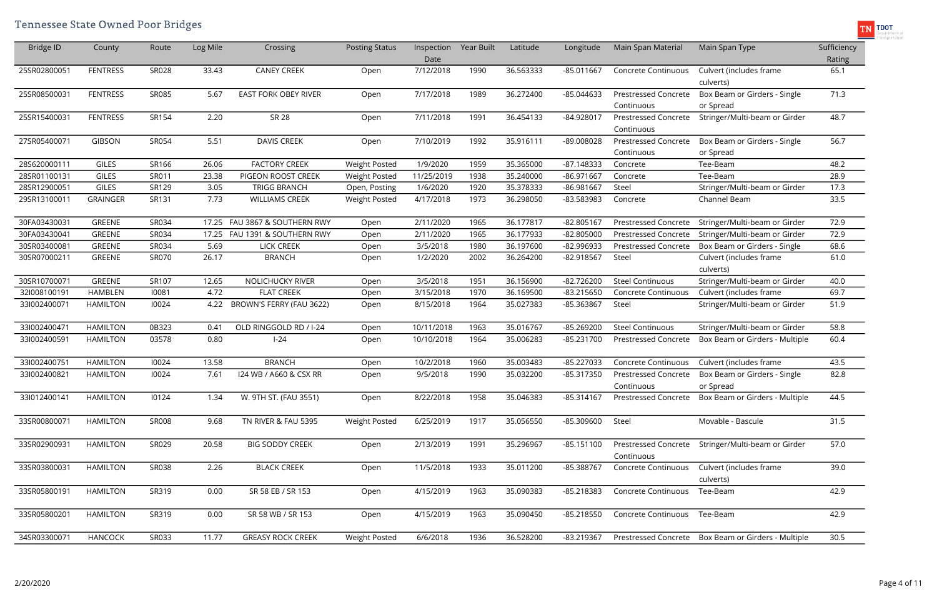| <b>Bridge ID</b> | County          | Route | Log Mile | Crossing                    | <b>Posting Status</b> | Inspection<br>Date | Year Built | Latitude  | Longitude    | Main Span Material                        | Main Span Type                                      | Sufficiency<br>Rating |
|------------------|-----------------|-------|----------|-----------------------------|-----------------------|--------------------|------------|-----------|--------------|-------------------------------------------|-----------------------------------------------------|-----------------------|
| 25SR02800051     | <b>FENTRESS</b> | SR028 | 33.43    | <b>CANEY CREEK</b>          | Open                  | 7/12/2018          | 1990       | 36.563333 | $-85.011667$ | <b>Concrete Continuous</b>                | Culvert (includes frame                             | 65.1                  |
|                  |                 |       |          |                             |                       |                    |            |           |              |                                           | culverts)                                           |                       |
| 25SR08500031     | <b>FENTRESS</b> | SR085 | 5.67     | <b>EAST FORK OBEY RIVER</b> | Open                  | 7/17/2018          | 1989       | 36.272400 | $-85.044633$ | <b>Prestressed Concrete</b>               | Box Beam or Girders - Single                        | 71.3                  |
|                  |                 |       |          |                             |                       |                    |            |           |              | Continuous                                | or Spread                                           |                       |
| 25SR15400031     | <b>FENTRESS</b> | SR154 | 2.20     | <b>SR 28</b>                | Open                  | 7/11/2018          | 1991       | 36.454133 | -84.928017   | <b>Prestressed Concrete</b>               | Stringer/Multi-beam or Girder                       | 48.7                  |
|                  |                 |       |          |                             |                       |                    |            |           |              | Continuous                                |                                                     |                       |
| 27SR05400071     | <b>GIBSON</b>   | SR054 | 5.51     | <b>DAVIS CREEK</b>          | Open                  | 7/10/2019          | 1992       | 35.916111 | -89.008028   | <b>Prestressed Concrete</b>               | Box Beam or Girders - Single                        | 56.7                  |
|                  |                 |       |          |                             |                       |                    |            |           |              | Continuous                                | or Spread                                           |                       |
| 28S620000111     | <b>GILES</b>    | SR166 | 26.06    | <b>FACTORY CREEK</b>        | <b>Weight Posted</b>  | 1/9/2020           | 1959       | 35.365000 | $-87.148333$ | Concrete                                  | Tee-Beam                                            | 48.2                  |
| 28SR01100131     | <b>GILES</b>    | SR011 | 23.38    | PIGEON ROOST CREEK          | <b>Weight Posted</b>  | 11/25/2019         | 1938       | 35.240000 | -86.971667   | Concrete                                  | Tee-Beam                                            | 28.9                  |
| 28SR12900051     | <b>GILES</b>    | SR129 | 3.05     | <b>TRIGG BRANCH</b>         | Open, Posting         | 1/6/2020           | 1920       | 35.378333 | -86.981667   | Steel                                     | Stringer/Multi-beam or Girder                       | 17.3                  |
| 29SR13100011     | <b>GRAINGER</b> | SR131 | 7.73     | <b>WILLIAMS CREEK</b>       | <b>Weight Posted</b>  | 4/17/2018          | 1973       | 36.298050 | -83.583983   | Concrete                                  | Channel Beam                                        | 33.5                  |
| 30FA03430031     | GREENE          | SR034 | 17.25    | FAU 3867 & SOUTHERN RWY     | Open                  | 2/11/2020          | 1965       | 36.177817 | -82.805167   | Prestressed Concrete                      | Stringer/Multi-beam or Girder                       | 72.9                  |
| 30FA03430041     | GREENE          | SR034 | 17.25    | FAU 1391 & SOUTHERN RWY     | Open                  | 2/11/2020          | 1965       | 36.177933 | -82.805000   | <b>Prestressed Concrete</b>               | Stringer/Multi-beam or Girder                       | 72.9                  |
| 30SR03400081     | GREENE          | SR034 | 5.69     | <b>LICK CREEK</b>           | Open                  | 3/5/2018           | 1980       | 36.197600 | -82.996933   | <b>Prestressed Concrete</b>               | Box Beam or Girders - Single                        | 68.6                  |
| 30SR07000211     | <b>GREENE</b>   | SR070 | 26.17    | <b>BRANCH</b>               | Open                  | 1/2/2020           | 2002       | 36.264200 | -82.918567   | Steel                                     | Culvert (includes frame                             | 61.0                  |
|                  |                 |       |          |                             |                       |                    |            |           |              |                                           | culverts)                                           |                       |
| 30SR10700071     | GREENE          | SR107 | 12.65    | <b>NOLICHUCKY RIVER</b>     | Open                  | 3/5/2018           | 1951       | 36.156900 | -82.726200   | <b>Steel Continuous</b>                   | Stringer/Multi-beam or Girder                       | 40.0                  |
| 321008100191     | <b>HAMBLEN</b>  | 10081 | 4.72     | <b>FLAT CREEK</b>           | Open                  | 3/15/2018          | 1970       | 36.169500 | -83.215650   | <b>Concrete Continuous</b>                | Culvert (includes frame                             | 69.7                  |
| 331002400071     | <b>HAMILTON</b> | 10024 | 4.22     | BROWN'S FERRY (FAU 3622)    | Open                  | 8/15/2018          | 1964       | 35.027383 | -85.363867   | Steel                                     | Stringer/Multi-beam or Girder                       | 51.9                  |
| 33l002400471     | <b>HAMILTON</b> | 0B323 | 0.41     | OLD RINGGOLD RD / I-24      | Open                  | 10/11/2018         | 1963       | 35.016767 | -85.269200   | <b>Steel Continuous</b>                   | Stringer/Multi-beam or Girder                       | 58.8                  |
| 331002400591     | <b>HAMILTON</b> | 03578 | 0.80     | $I-24$                      | Open                  | 10/10/2018         | 1964       | 35.006283 | -85.231700   | <b>Prestressed Concrete</b>               | Box Beam or Girders - Multiple                      | 60.4                  |
| 33l002400751     | <b>HAMILTON</b> | 10024 | 13.58    | <b>BRANCH</b>               | Open                  | 10/2/2018          | 1960       | 35.003483 | -85.227033   | Concrete Continuous                       | Culvert (includes frame                             | 43.5                  |
| 331002400821     | <b>HAMILTON</b> | 10024 | 7.61     | 124 WB / A660 & CSX RR      | Open                  | 9/5/2018           | 1990       | 35.032200 | -85.317350   | Prestressed Concrete                      | Box Beam or Girders - Single                        | 82.8                  |
|                  |                 |       |          |                             |                       |                    |            |           |              | Continuous                                | or Spread                                           |                       |
| 33l012400141     | <b>HAMILTON</b> | 10124 | 1.34     | W. 9TH ST. (FAU 3551)       | Open                  | 8/22/2018          | 1958       | 35.046383 | $-85.314167$ | <b>Prestressed Concrete</b>               | Box Beam or Girders - Multiple                      | 44.5                  |
| 33SR00800071     | <b>HAMILTON</b> | SR008 | 9.68     | TN RIVER & FAU 5395         | <b>Weight Posted</b>  | 6/25/2019          | 1917       | 35.056550 | -85.309600   | Steel                                     | Movable - Bascule                                   | 31.5                  |
| 33SR02900931     | <b>HAMILTON</b> | SR029 | 20.58    | <b>BIG SODDY CREEK</b>      | Open                  | 2/13/2019          | 1991       | 35.296967 | $-85.151100$ | <b>Prestressed Concrete</b><br>Continuous | Stringer/Multi-beam or Girder                       | 57.0                  |
| 33SR03800031     | <b>HAMILTON</b> | SR038 | 2.26     | <b>BLACK CREEK</b>          | Open                  | 11/5/2018          | 1933       | 35.011200 | -85.388767   | Concrete Continuous                       | Culvert (includes frame                             | 39.0                  |
|                  |                 |       |          |                             |                       |                    |            |           |              |                                           | culverts)                                           |                       |
| 33SR05800191     | <b>HAMILTON</b> | SR319 | 0.00     | SR 58 EB / SR 153           | Open                  | 4/15/2019          | 1963       | 35.090383 | -85.218383   | Concrete Continuous                       | Tee-Beam                                            | 42.9                  |
| 33SR05800201     | <b>HAMILTON</b> | SR319 | 0.00     | SR 58 WB / SR 153           | Open                  | 4/15/2019          | 1963       | 35.090450 | $-85.218550$ | Concrete Continuous                       | Tee-Beam                                            | 42.9                  |
| 34SR03300071     | <b>HANCOCK</b>  | SR033 | 11.77    | <b>GREASY ROCK CREEK</b>    | <b>Weight Posted</b>  | 6/6/2018           | 1936       | 36.528200 | -83.219367   |                                           | Prestressed Concrete Box Beam or Girders - Multiple | 30.5                  |

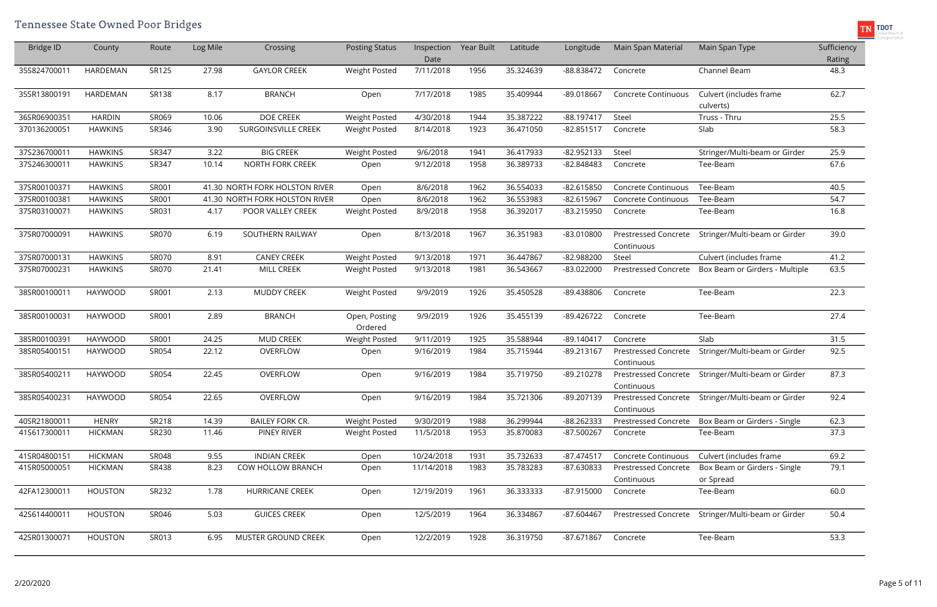| Bridge ID    | County         | Route | Log Mile | Crossing                       | <b>Posting Status</b>    | Inspection<br>Date | Year Built | Latitude  | Longitude    | Main Span Material                        | Main Span Type                            | Sufficiency<br>Rating |
|--------------|----------------|-------|----------|--------------------------------|--------------------------|--------------------|------------|-----------|--------------|-------------------------------------------|-------------------------------------------|-----------------------|
| 35S824700011 | HARDEMAN       | SR125 | 27.98    | <b>GAYLOR CREEK</b>            | <b>Weight Posted</b>     | 7/11/2018          | 1956       | 35.324639 | -88.838472   | Concrete                                  | Channel Beam                              | 48.3                  |
| 35SR13800191 | HARDEMAN       | SR138 | 8.17     | <b>BRANCH</b>                  | Open                     | 7/17/2018          | 1985       | 35.409944 | -89.018667   | <b>Concrete Continuous</b>                | Culvert (includes frame<br>culverts)      | 62.7                  |
| 36SR06900351 | <b>HARDIN</b>  | SR069 | 10.06    | <b>DOE CREEK</b>               | Weight Posted            | 4/30/2018          | 1944       | 35.387222 | -88.197417   | Steel                                     | Truss - Thru                              | 25.5                  |
| 370136200051 | <b>HAWKINS</b> | SR346 | 3.90     | SURGOINSVILLE CREEK            | <b>Weight Posted</b>     | 8/14/2018          | 1923       | 36.471050 | -82.851517   | Concrete                                  | Slab                                      | 58.3                  |
| 37S236700011 | <b>HAWKINS</b> | SR347 | 3.22     | <b>BIG CREEK</b>               | <b>Weight Posted</b>     | 9/6/2018           | 1941       | 36.417933 | $-82.952133$ | Steel                                     | Stringer/Multi-beam or Girder             | 25.9                  |
| 37S246300011 | <b>HAWKINS</b> | SR347 | 10.14    | NORTH FORK CREEK               | Open                     | 9/12/2018          | 1958       | 36.389733 | -82.848483   | Concrete                                  | Tee-Beam                                  | 67.6                  |
| 37SR00100371 | <b>HAWKINS</b> | SR001 |          | 41.30 NORTH FORK HOLSTON RIVER | Open                     | 8/6/2018           | 1962       | 36.554033 | $-82.615850$ | <b>Concrete Continuous</b>                | Tee-Beam                                  | 40.5                  |
| 37SR00100381 | <b>HAWKINS</b> | SR001 |          | 41.30 NORTH FORK HOLSTON RIVER | Open                     | 8/6/2018           | 1962       | 36.553983 | -82.615967   | Concrete Continuous                       | Tee-Beam                                  | 54.7                  |
| 37SR03100071 | <b>HAWKINS</b> | SR031 | 4.17     | POOR VALLEY CREEK              | <b>Weight Posted</b>     | 8/9/2018           | 1958       | 36.392017 | -83.215950   | Concrete                                  | Tee-Beam                                  | 16.8                  |
| 37SR07000091 | <b>HAWKINS</b> | SR070 | 6.19     | SOUTHERN RAILWAY               | Open                     | 8/13/2018          | 1967       | 36.351983 | -83.010800   | <b>Prestressed Concrete</b><br>Continuous | Stringer/Multi-beam or Girder             | 39.0                  |
| 37SR07000131 | <b>HAWKINS</b> | SR070 | 8.91     | <b>CANEY CREEK</b>             | <b>Weight Posted</b>     | 9/13/2018          | 1971       | 36.447867 | -82.988200   | Steel                                     | Culvert (includes frame                   | 41.2                  |
| 37SR07000231 | <b>HAWKINS</b> | SR070 | 21.41    | MILL CREEK                     | <b>Weight Posted</b>     | 9/13/2018          | 1981       | 36.543667 | -83.022000   | <b>Prestressed Concrete</b>               | Box Beam or Girders - Multiple            | 63.5                  |
| 38SR00100011 | <b>HAYWOOD</b> | SR001 | 2.13     | <b>MUDDY CREEK</b>             | <b>Weight Posted</b>     | 9/9/2019           | 1926       | 35.450528 | -89.438806   | Concrete                                  | Tee-Beam                                  | 22.3                  |
| 38SR00100031 | <b>HAYWOOD</b> | SR001 | 2.89     | <b>BRANCH</b>                  | Open, Posting<br>Ordered | 9/9/2019           | 1926       | 35.455139 | -89.426722   | Concrete                                  | Tee-Beam                                  | 27.4                  |
| 38SR00100391 | <b>HAYWOOD</b> | SR001 | 24.25    | <b>MUD CREEK</b>               | <b>Weight Posted</b>     | 9/11/2019          | 1925       | 35.588944 | -89.140417   | Concrete                                  | Slab                                      | 31.5                  |
| 38SR05400151 | <b>HAYWOOD</b> | SR054 | 22.12    | <b>OVERFLOW</b>                | Open                     | 9/16/2019          | 1984       | 35.715944 | -89.213167   | <b>Prestressed Concrete</b><br>Continuous | Stringer/Multi-beam or Girder             | 92.5                  |
| 38SR05400211 | <b>HAYWOOD</b> | SR054 | 22.45    | OVERFLOW                       | Open                     | 9/16/2019          | 1984       | 35.719750 | -89.210278   | Prestressed Concrete<br>Continuous        | Stringer/Multi-beam or Girder             | 87.3                  |
| 38SR05400231 | HAYWOOD        | SR054 | 22.65    | OVERFLOW                       | Open                     | 9/16/2019          | 1984       | 35.721306 | -89.207139   | Prestressed Concrete<br>Continuous        | Stringer/Multi-beam or Girder             | 92.4                  |
| 40SR21800011 | <b>HENRY</b>   | SR218 | 14.39    | <b>BAILEY FORK CR.</b>         | <b>Weight Posted</b>     | 9/30/2019          | 1988       | 36.299944 | -88.262333   | <b>Prestressed Concrete</b>               | Box Beam or Girders - Single              | 62.3                  |
| 41S617300011 | <b>HICKMAN</b> | SR230 | 11.46    | PINEY RIVER                    | <b>Weight Posted</b>     | 11/5/2018          | 1953       | 35.870083 | $-87.500267$ | Concrete                                  | Tee-Beam                                  | 37.3                  |
| 41SR04800151 | <b>HICKMAN</b> | SR048 | 9.55     | <b>INDIAN CREEK</b>            | Open                     | 10/24/2018         | 1931       | 35.732633 | $-87.474517$ | <b>Concrete Continuous</b>                | Culvert (includes frame                   | 69.2                  |
| 41SR05000051 | <b>HICKMAN</b> | SR438 | 8.23     | COW HOLLOW BRANCH              | Open                     | 11/14/2018         | 1983       | 35.783283 | -87.630833   | <b>Prestressed Concrete</b><br>Continuous | Box Beam or Girders - Single<br>or Spread | 79.1                  |
| 42FA12300011 | <b>HOUSTON</b> | SR232 | 1.78     | <b>HURRICANE CREEK</b>         | Open                     | 12/19/2019         | 1961       | 36.333333 | -87.915000   | Concrete                                  | Tee-Beam                                  | 60.0                  |
| 42S614400011 | <b>HOUSTON</b> | SR046 | 5.03     | <b>GUICES CREEK</b>            | Open                     | 12/5/2019          | 1964       | 36.334867 | $-87.604467$ | Prestressed Concrete                      | Stringer/Multi-beam or Girder             | 50.4                  |
| 42SR01300071 | <b>HOUSTON</b> | SR013 | 6.95     | MUSTER GROUND CREEK            | Open                     | 12/2/2019          | 1928       | 36.319750 | -87.671867   | Concrete                                  | Tee-Beam                                  | 53.3                  |

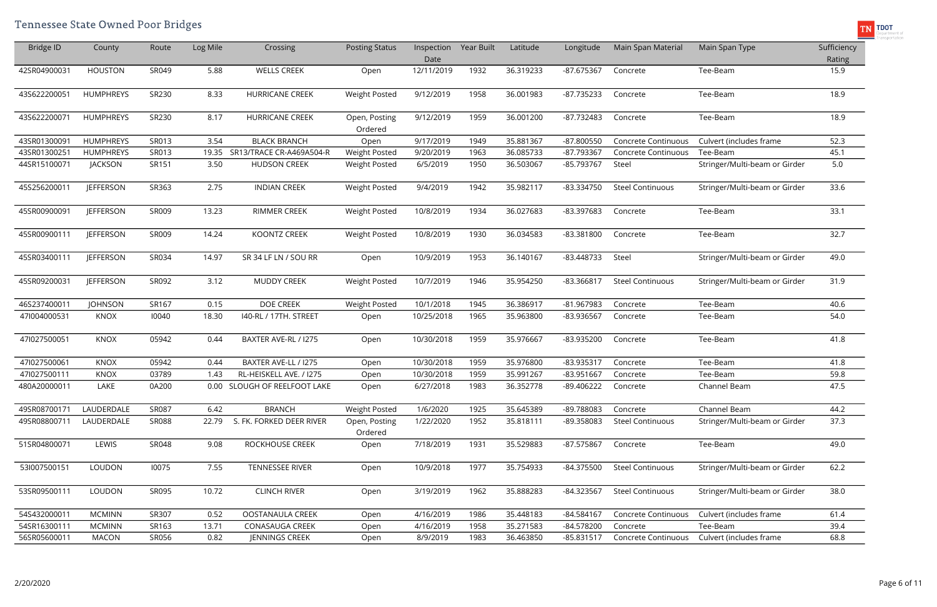| <b>Bridge ID</b> | County           | Route | Log Mile | Crossing                     | <b>Posting Status</b>    | Inspection<br>Date | <b>Year Built</b> | Latitude  | Longitude  | Main Span Material      | Main Span Type                | Sufficiency<br>Rating |
|------------------|------------------|-------|----------|------------------------------|--------------------------|--------------------|-------------------|-----------|------------|-------------------------|-------------------------------|-----------------------|
| 42SR04900031     | <b>HOUSTON</b>   | SR049 | 5.88     | <b>WELLS CREEK</b>           | Open                     | 12/11/2019         | 1932              | 36.319233 | -87.675367 | Concrete                | Tee-Beam                      | 15.9                  |
| 43S622200051     | <b>HUMPHREYS</b> | SR230 | 8.33     | <b>HURRICANE CREEK</b>       | <b>Weight Posted</b>     | 9/12/2019          | 1958              | 36.001983 | -87.735233 | Concrete                | Tee-Beam                      | 18.9                  |
| 43S622200071     | <b>HUMPHREYS</b> | SR230 | 8.17     | <b>HURRICANE CREEK</b>       | Open, Posting<br>Ordered | 9/12/2019          | 1959              | 36.001200 | -87.732483 | Concrete                | Tee-Beam                      | 18.9                  |
| 43SR01300091     | <b>HUMPHREYS</b> | SR013 | 3.54     | <b>BLACK BRANCH</b>          | Open                     | 9/17/2019          | 1949              | 35.881367 | -87.800550 | Concrete Continuous     | Culvert (includes frame       | 52.3                  |
| 43SR01300251     | <b>HUMPHREYS</b> | SR013 | 19.35    | SR13/TRACE CR-A469A504-R     | <b>Weight Posted</b>     | 9/20/2019          | 1963              | 36.085733 | -87.793367 | Concrete Continuous     | Tee-Beam                      | 45.1                  |
| 44SR15100071     | JACKSON          | SR151 | 3.50     | <b>HUDSON CREEK</b>          | <b>Weight Posted</b>     | 6/5/2019           | 1950              | 36.503067 | -85.793767 | Steel                   | Stringer/Multi-beam or Girder | 5.0                   |
| 45S256200011     | <b>JEFFERSON</b> | SR363 | 2.75     | <b>INDIAN CREEK</b>          | <b>Weight Posted</b>     | 9/4/2019           | 1942              | 35.982117 | -83.334750 | <b>Steel Continuous</b> | Stringer/Multi-beam or Girder | 33.6                  |
| 45SR00900091     | <b>JEFFERSON</b> | SR009 | 13.23    | RIMMER CREEK                 | <b>Weight Posted</b>     | 10/8/2019          | 1934              | 36.027683 | -83.397683 | Concrete                | Tee-Beam                      | 33.1                  |
| 45SR00900111     | <b>JEFFERSON</b> | SR009 | 14.24    | <b>KOONTZ CREEK</b>          | <b>Weight Posted</b>     | 10/8/2019          | 1930              | 36.034583 | -83.381800 | Concrete                | Tee-Beam                      | 32.7                  |
| 45SR03400111     | <b>JEFFERSON</b> | SR034 | 14.97    | SR 34 LF LN / SOU RR         | Open                     | 10/9/2019          | 1953              | 36.140167 | -83.448733 | Steel                   | Stringer/Multi-beam or Girder | 49.0                  |
| 45SR09200031     | <b>JEFFERSON</b> | SR092 | 3.12     | <b>MUDDY CREEK</b>           | <b>Weight Posted</b>     | 10/7/2019          | 1946              | 35.954250 | -83.366817 | <b>Steel Continuous</b> | Stringer/Multi-beam or Girder | 31.9                  |
| 46S237400011     | <b>JOHNSON</b>   | SR167 | 0.15     | <b>DOE CREEK</b>             | <b>Weight Posted</b>     | 10/1/2018          | 1945              | 36.386917 | -81.967983 | Concrete                | Tee-Beam                      | 40.6                  |
| 471004000531     | <b>KNOX</b>      | 10040 | 18.30    | I40-RL / 17TH. STREET        | Open                     | 10/25/2018         | 1965              | 35.963800 | -83.936567 | Concrete                | Tee-Beam                      | 54.0                  |
| 471027500051     | <b>KNOX</b>      | 05942 | 0.44     | BAXTER AVE-RL / 1275         | Open                     | 10/30/2018         | 1959              | 35.976667 | -83.935200 | Concrete                | Tee-Beam                      | 41.8                  |
| 471027500061     | <b>KNOX</b>      | 05942 | 0.44     | BAXTER AVE-LL / 1275         | Open                     | 10/30/2018         | 1959              | 35.976800 | -83.935317 | Concrete                | Tee-Beam                      | 41.8                  |
| 471027500111     | <b>KNOX</b>      | 03789 | 1.43     | RL-HEISKELL AVE. / 1275      | Open                     | 10/30/2018         | 1959              | 35.991267 | -83.951667 | Concrete                | Tee-Beam                      | 59.8                  |
| 480A20000011     | LAKE             | 0A200 |          | 0.00 SLOUGH OF REELFOOT LAKE | Open                     | 6/27/2018          | 1983              | 36.352778 | -89.406222 | Concrete                | Channel Beam                  | 47.5                  |
| 49SR08700171     | LAUDERDALE       | SR087 | 6.42     | <b>BRANCH</b>                | <b>Weight Posted</b>     | 1/6/2020           | 1925              | 35.645389 | -89.788083 | Concrete                | Channel Beam                  | 44.2                  |
| 49SR08800711     | LAUDERDALE       | SR088 | 22.79    | S. FK. FORKED DEER RIVER     | Open, Posting<br>Ordered | 1/22/2020          | 1952              | 35.818111 | -89.358083 | <b>Steel Continuous</b> | Stringer/Multi-beam or Girder | 37.3                  |
| 51SR04800071     | LEWIS            | SR048 | 9.08     | ROCKHOUSE CREEK              | Open                     | 7/18/2019          | 1931              | 35.529883 | -87.575867 | Concrete                | Tee-Beam                      | 49.0                  |
| 531007500151     | LOUDON           | 10075 | 7.55     | TENNESSEE RIVER              | Open                     | 10/9/2018          | 1977              | 35.754933 | -84.375500 | <b>Steel Continuous</b> | Stringer/Multi-beam or Girder | 62.2                  |
| 53SR09500111     | LOUDON           | SR095 | 10.72    | <b>CLINCH RIVER</b>          | Open                     | 3/19/2019          | 1962              | 35.888283 | -84.323567 | <b>Steel Continuous</b> | Stringer/Multi-beam or Girder | 38.0                  |
| 54S432000011     | <b>MCMINN</b>    | SR307 | 0.52     | OOSTANAULA CREEK             | Open                     | 4/16/2019          | 1986              | 35.448183 | -84.584167 | Concrete Continuous     | Culvert (includes frame       | 61.4                  |
| 54SR16300111     | <b>MCMINN</b>    | SR163 | 13.71    | CONASAUGA CREEK              | Open                     | 4/16/2019          | 1958              | 35.271583 | -84.578200 | Concrete                | Tee-Beam                      | 39.4                  |
| 56SR05600011     | MACON            | SR056 | 0.82     | JENNINGS CREEK               | Open                     | 8/9/2019           | 1983              | 36.463850 | -85.831517 | Concrete Continuous     | Culvert (includes frame       | 68.8                  |
|                  |                  |       |          |                              |                          |                    |                   |           |            |                         |                               |                       |

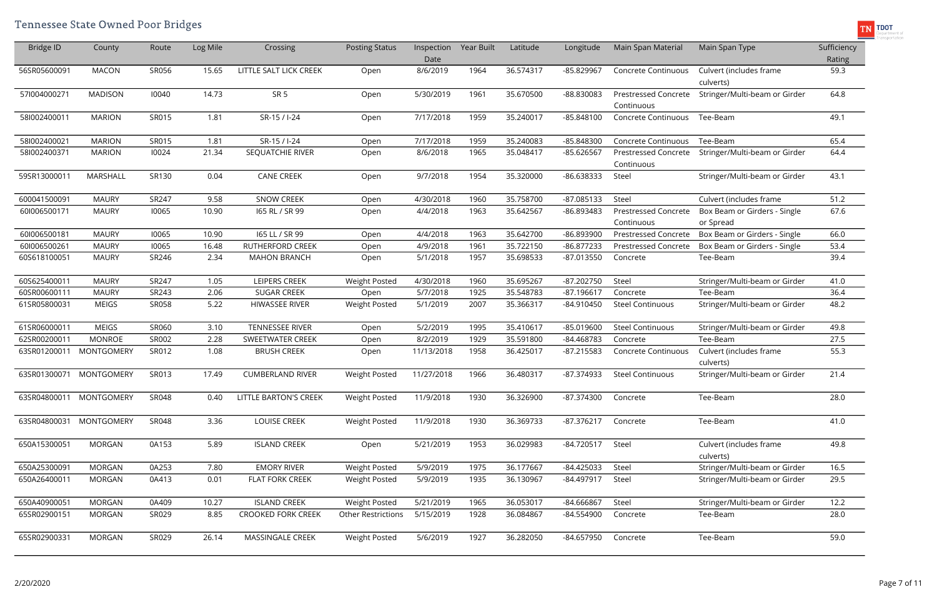| <b>Bridge ID</b> | County                  | Route | Log Mile | Crossing                     | <b>Posting Status</b>     | Inspection<br>Date | Year Built | Latitude  | Longitude    | Main Span Material                        | Main Span Type                       | Sufficiency<br>Rating |
|------------------|-------------------------|-------|----------|------------------------------|---------------------------|--------------------|------------|-----------|--------------|-------------------------------------------|--------------------------------------|-----------------------|
| 56SR05600091     | <b>MACON</b>            | SR056 | 15.65    | LITTLE SALT LICK CREEK       | Open                      | 8/6/2019           | 1964       | 36.574317 | -85.829967   | Concrete Continuous                       | Culvert (includes frame<br>culverts) | 59.3                  |
| 571004000271     | <b>MADISON</b>          | 10040 | 14.73    | SR <sub>5</sub>              | Open                      | 5/30/2019          | 1961       | 35.670500 | -88.830083   | <b>Prestressed Concrete</b><br>Continuous | Stringer/Multi-beam or Girder        | 64.8                  |
| 581002400011     | <b>MARION</b>           | SR015 | 1.81     | SR-15 / I-24                 | Open                      | 7/17/2018          | 1959       | 35.240017 | -85.848100   | Concrete Continuous                       | Tee-Beam                             | 49.1                  |
| 581002400021     | <b>MARION</b>           | SR015 | 1.81     | SR-15 / I-24                 | Open                      | 7/17/2018          | 1959       | 35.240083 | -85.848300   | <b>Concrete Continuous</b>                | Tee-Beam                             | 65.4                  |
| 581002400371     | <b>MARION</b>           | 10024 | 21.34    | SEQUATCHIE RIVER             | Open                      | 8/6/2018           | 1965       | 35.048417 | -85.626567   | <b>Prestressed Concrete</b><br>Continuous | Stringer/Multi-beam or Girder        | 64.4                  |
| 59SR13000011     | <b>MARSHALL</b>         | SR130 | 0.04     | <b>CANE CREEK</b>            | Open                      | 9/7/2018           | 1954       | 35.320000 | -86.638333   | Steel                                     | Stringer/Multi-beam or Girder        | 43.1                  |
| 600041500091     | <b>MAURY</b>            | SR247 | 9.58     | <b>SNOW CREEK</b>            | Open                      | 4/30/2018          | 1960       | 35.758700 | -87.085133   | Steel                                     | Culvert (includes frame              | 51.2                  |
| 601006500171     | <b>MAURY</b>            | 10065 | 10.90    | 165 RL / SR 99               | Open                      | 4/4/2018           | 1963       | 35.642567 | -86.893483   | <b>Prestressed Concrete</b>               | Box Beam or Girders - Single         | 67.6                  |
|                  |                         |       |          |                              |                           |                    |            |           |              | Continuous                                | or Spread                            |                       |
| 601006500181     | <b>MAURY</b>            | 10065 | 10.90    | 165 LL / SR 99               | Open                      | 4/4/2018           | 1963       | 35.642700 | -86.893900   | <b>Prestressed Concrete</b>               | Box Beam or Girders - Single         | 66.0                  |
| 601006500261     | <b>MAURY</b>            | 10065 | 16.48    | RUTHERFORD CREEK             | Open                      | 4/9/2018           | 1961       | 35.722150 | -86.877233   | Prestressed Concrete                      | Box Beam or Girders - Single         | 53.4                  |
| 60S618100051     | <b>MAURY</b>            | SR246 | 2.34     | <b>MAHON BRANCH</b>          | Open                      | 5/1/2018           | 1957       | 35.698533 | -87.013550   | Concrete                                  | Tee-Beam                             | 39.4                  |
| 60S625400011     | <b>MAURY</b>            | SR247 | 1.05     | <b>LEIPERS CREEK</b>         | <b>Weight Posted</b>      | 4/30/2018          | 1960       | 35.695267 | -87.202750   | Steel                                     | Stringer/Multi-beam or Girder        | 41.0                  |
| 60SR00600111     | <b>MAURY</b>            | SR243 | 2.06     | <b>SUGAR CREEK</b>           | Open                      | 5/7/2018           | 1925       | 35.548783 | -87.196617   | Concrete                                  | Tee-Beam                             | 36.4                  |
| 61SR05800031     | <b>MEIGS</b>            | SR058 | 5.22     | <b>HIWASSEE RIVER</b>        | <b>Weight Posted</b>      | 5/1/2019           | 2007       | 35.366317 | -84.910450   | <b>Steel Continuous</b>                   | Stringer/Multi-beam or Girder        | 48.2                  |
| 61SR06000011     | <b>MEIGS</b>            | SR060 | 3.10     | <b>TENNESSEE RIVER</b>       | Open                      | 5/2/2019           | 1995       | 35.410617 | -85.019600   | <b>Steel Continuous</b>                   | Stringer/Multi-beam or Girder        | 49.8                  |
| 62SR00200011     | <b>MONROE</b>           | SR002 | 2.28     | <b>SWEETWATER CREEK</b>      | Open                      | 8/2/2019           | 1929       | 35.591800 | -84.468783   | Concrete                                  | Tee-Beam                             | 27.5                  |
| 63SR01200011     | <b>MONTGOMERY</b>       | SR012 | 1.08     | <b>BRUSH CREEK</b>           | Open                      | 11/13/2018         | 1958       | 36.425017 | -87.215583   | <b>Concrete Continuous</b>                | Culvert (includes frame<br>culverts) | 55.3                  |
| 63SR01300071     | MONTGOMERY              | SR013 | 17.49    | <b>CUMBERLAND RIVER</b>      | <b>Weight Posted</b>      | 11/27/2018         | 1966       | 36.480317 | -87.374933   | <b>Steel Continuous</b>                   | Stringer/Multi-beam or Girder        | 21.4                  |
|                  | 63SR04800011 MONTGOMERY | SR048 | 0.40     | <b>LITTLE BARTON'S CREEK</b> | <b>Weight Posted</b>      | 11/9/2018          | 1930       | 36.326900 | -87.374300   | Concrete                                  | Tee-Beam                             | 28.0                  |
| 63SR04800031     | MONTGOMERY              | SR048 | 3.36     | LOUISE CREEK                 | <b>Weight Posted</b>      | 11/9/2018          | 1930       | 36.369733 | -87.376217   | Concrete                                  | Tee-Beam                             | 41.0                  |
| 650A15300051     | MORGAN                  | 0A153 | 5.89     | <b>ISLAND CREEK</b>          | Open                      | 5/21/2019          | 1953       | 36.029983 | $-84.720517$ | Steel                                     | Culvert (includes frame<br>culverts) | 49.8                  |
| 650A25300091     | <b>MORGAN</b>           | 0A253 | 7.80     | <b>EMORY RIVER</b>           | <b>Weight Posted</b>      | 5/9/2019           | 1975       | 36.177667 | -84.425033   | Steel                                     | Stringer/Multi-beam or Girder        | 16.5                  |
| 650A26400011     | <b>MORGAN</b>           | 0A413 | 0.01     | <b>FLAT FORK CREEK</b>       | <b>Weight Posted</b>      | 5/9/2019           | 1935       | 36.130967 | -84.497917   | Steel                                     | Stringer/Multi-beam or Girder        | 29.5                  |
| 650A40900051     | <b>MORGAN</b>           | 0A409 | 10.27    | <b>ISLAND CREEK</b>          | <b>Weight Posted</b>      | 5/21/2019          | 1965       | 36.053017 | -84.666867   | Steel                                     | Stringer/Multi-beam or Girder        | 12.2                  |
| 65SR02900151     | MORGAN                  | SR029 | 8.85     | <b>CROOKED FORK CREEK</b>    | <b>Other Restrictions</b> | 5/15/2019          | 1928       | 36.084867 | -84.554900   | Concrete                                  | Tee-Beam                             | 28.0                  |
| 65SR02900331     | MORGAN                  | SR029 | 26.14    | MASSINGALE CREEK             | <b>Weight Posted</b>      | 5/6/2019           | 1927       | 36.282050 | -84.657950   | Concrete                                  | Tee-Beam                             | 59.0                  |

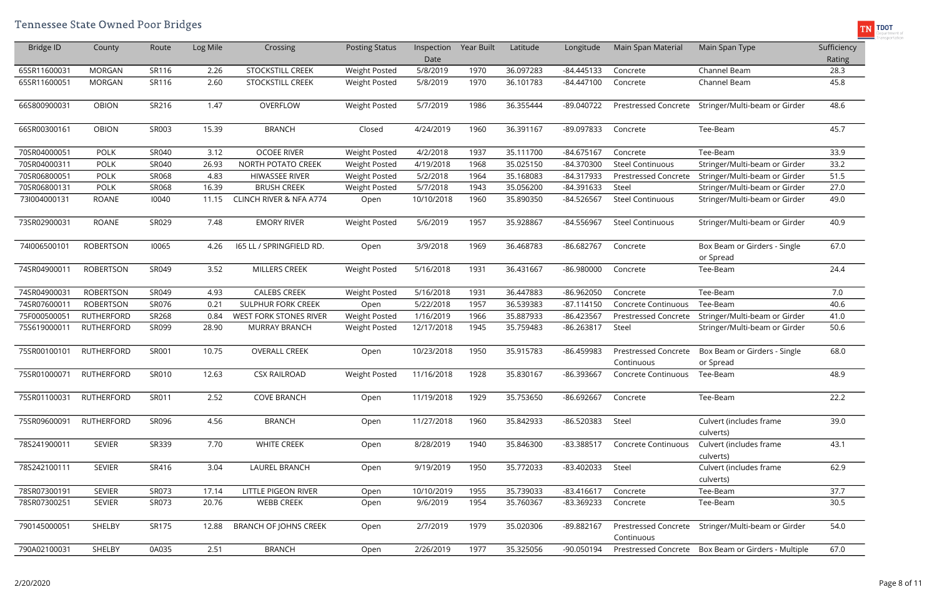| Bridge ID    | County            | Route | Log Mile | Crossing                      | <b>Posting Status</b> | Inspection<br>Date | Year Built | Latitude  | Longitude    | Main Span Material                        | Main Span Type                            | Sufficiency<br>Rating |
|--------------|-------------------|-------|----------|-------------------------------|-----------------------|--------------------|------------|-----------|--------------|-------------------------------------------|-------------------------------------------|-----------------------|
| 65SR11600031 | <b>MORGAN</b>     | SR116 | 2.26     | STOCKSTILL CREEK              | <b>Weight Posted</b>  | 5/8/2019           | 1970       | 36.097283 | -84.445133   | Concrete                                  | Channel Beam                              | 28.3                  |
| 65SR11600051 | <b>MORGAN</b>     | SR116 | 2.60     | STOCKSTILL CREEK              | <b>Weight Posted</b>  | 5/8/2019           | 1970       | 36.101783 | -84.447100   | Concrete                                  | Channel Beam                              | 45.8                  |
| 66S800900031 | <b>OBION</b>      | SR216 | 1.47     | OVERFLOW                      | <b>Weight Posted</b>  | 5/7/2019           | 1986       | 36.355444 | -89.040722   | <b>Prestressed Concrete</b>               | Stringer/Multi-beam or Girder             | 48.6                  |
| 66SR00300161 | <b>OBION</b>      | SR003 | 15.39    | <b>BRANCH</b>                 | Closed                | 4/24/2019          | 1960       | 36.391167 | -89.097833   | Concrete                                  | Tee-Beam                                  | 45.7                  |
| 70SR04000051 | <b>POLK</b>       | SR040 | 3.12     | <b>OCOEE RIVER</b>            | <b>Weight Posted</b>  | 4/2/2018           | 1937       | 35.111700 | -84.675167   | Concrete                                  | Tee-Beam                                  | 33.9                  |
| 70SR04000311 | <b>POLK</b>       | SR040 | 26.93    | NORTH POTATO CREEK            | <b>Weight Posted</b>  | 4/19/2018          | 1968       | 35.025150 | -84.370300   | <b>Steel Continuous</b>                   | Stringer/Multi-beam or Girder             | 33.2                  |
| 70SR06800051 | <b>POLK</b>       | SR068 | 4.83     | <b>HIWASSEE RIVER</b>         | <b>Weight Posted</b>  | 5/2/2018           | 1964       | 35.168083 | -84.317933   | <b>Prestressed Concrete</b>               | Stringer/Multi-beam or Girder             | 51.5                  |
| 70SR06800131 | <b>POLK</b>       | SR068 | 16.39    | <b>BRUSH CREEK</b>            | <b>Weight Posted</b>  | 5/7/2018           | 1943       | 35.056200 | -84.391633   | Steel                                     | Stringer/Multi-beam or Girder             | 27.0                  |
| 731004000131 | <b>ROANE</b>      | 10040 | 11.15    | CLINCH RIVER & NFA A774       | Open                  | 10/10/2018         | 1960       | 35.890350 | -84.526567   | <b>Steel Continuous</b>                   | Stringer/Multi-beam or Girder             | 49.0                  |
| 73SR02900031 | <b>ROANE</b>      | SR029 | 7.48     | <b>EMORY RIVER</b>            | <b>Weight Posted</b>  | 5/6/2019           | 1957       | 35.928867 | -84.556967   | <b>Steel Continuous</b>                   | Stringer/Multi-beam or Girder             | 40.9                  |
| 741006500101 | <b>ROBERTSON</b>  | 10065 | 4.26     | 165 LL / SPRINGFIELD RD.      | Open                  | 3/9/2018           | 1969       | 36.468783 | -86.682767   | Concrete                                  | Box Beam or Girders - Single<br>or Spread | 67.0                  |
| 74SR04900011 | <b>ROBERTSON</b>  | SR049 | 3.52     | MILLERS CREEK                 | <b>Weight Posted</b>  | 5/16/2018          | 1931       | 36.431667 | -86.980000   | Concrete                                  | Tee-Beam                                  | 24.4                  |
| 74SR04900031 | <b>ROBERTSON</b>  | SR049 | 4.93     | <b>CALEBS CREEK</b>           | <b>Weight Posted</b>  | 5/16/2018          | 1931       | 36.447883 | -86.962050   | Concrete                                  | Tee-Beam                                  | 7.0                   |
| 74SR07600011 | <b>ROBERTSON</b>  | SR076 | 0.21     | <b>SULPHUR FORK CREEK</b>     | Open                  | 5/22/2018          | 1957       | 36.539383 | $-87.114150$ | <b>Concrete Continuous</b>                | Tee-Beam                                  | 40.6                  |
| 75F000500051 | <b>RUTHERFORD</b> | SR268 | 0.84     | <b>WEST FORK STONES RIVER</b> | <b>Weight Posted</b>  | 1/16/2019          | 1966       | 35.887933 | -86.423567   | <b>Prestressed Concrete</b>               | Stringer/Multi-beam or Girder             | 41.0                  |
| 75S619000011 | <b>RUTHERFORD</b> | SR099 | 28.90    | MURRAY BRANCH                 | <b>Weight Posted</b>  | 12/17/2018         | 1945       | 35.759483 | -86.263817   | Steel                                     | Stringer/Multi-beam or Girder             | 50.6                  |
| 75SR00100101 | <b>RUTHERFORD</b> | SR001 | 10.75    | <b>OVERALL CREEK</b>          | Open                  | 10/23/2018         | 1950       | 35.915783 | -86.459983   | <b>Prestressed Concrete</b><br>Continuous | Box Beam or Girders - Single<br>or Spread | 68.0                  |
| 75SR01000071 | <b>RUTHERFORD</b> | SR010 | 12.63    | <b>CSX RAILROAD</b>           | <b>Weight Posted</b>  | 11/16/2018         | 1928       | 35.830167 | -86.393667   | <b>Concrete Continuous</b>                | Tee-Beam                                  | 48.9                  |
| 75SR01100031 | <b>RUTHERFORD</b> | SR011 | 2.52     | <b>COVE BRANCH</b>            | Open                  | 11/19/2018         | 1929       | 35.753650 | -86.692667   | Concrete                                  | Tee-Beam                                  | 22.2                  |
| 75SR09600091 | <b>RUTHERFORD</b> | SR096 | 4.56     | <b>BRANCH</b>                 | Open                  | 11/27/2018         | 1960       | 35.842933 | -86.520383   | Steel                                     | Culvert (includes frame<br>culverts)      | 39.0                  |
| 78S241900011 | <b>SEVIER</b>     | SR339 | 7.70     | <b>WHITE CREEK</b>            | Open                  | 8/28/2019          | 1940       | 35.846300 | -83.388517   | <b>Concrete Continuous</b>                | Culvert (includes frame<br>culverts)      | 43.1                  |
| 78S242100111 | <b>SEVIER</b>     | SR416 | 3.04     | <b>LAUREL BRANCH</b>          | Open                  | 9/19/2019          | 1950       | 35.772033 | -83.402033   | Steel                                     | Culvert (includes frame<br>culverts)      | 62.9                  |
| 78SR07300191 | <b>SEVIER</b>     | SR073 | 17.14    | <b>LITTLE PIGEON RIVER</b>    | Open                  | 10/10/2019         | 1955       | 35.739033 | -83.416617   | Concrete                                  | Tee-Beam                                  | 37.7                  |
| 78SR07300251 | <b>SEVIER</b>     | SR073 | 20.76    | <b>WEBB CREEK</b>             | Open                  | 9/6/2019           | 1954       | 35.760367 | -83.369233   | Concrete                                  | Tee-Beam                                  | 30.5                  |
| 790145000051 | SHELBY            | SR175 | 12.88    | <b>BRANCH OF JOHNS CREEK</b>  | Open                  | 2/7/2019           | 1979       | 35.020306 | -89.882167   | Prestressed Concrete<br>Continuous        | Stringer/Multi-beam or Girder             | 54.0                  |
| 790A02100031 | SHELBY            | 0A035 | 2.51     | <b>BRANCH</b>                 | Open                  | 2/26/2019          | 1977       | 35.325056 | -90.050194   | <b>Prestressed Concrete</b>               | Box Beam or Girders - Multiple            | 67.0                  |

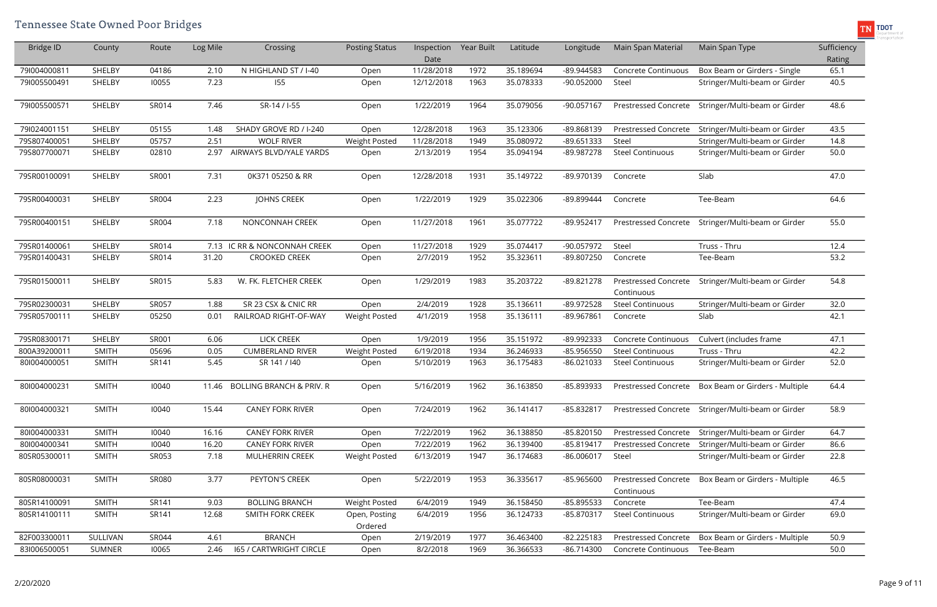| <b>Bridge ID</b> | County        | Route | Log Mile | Crossing                       | <b>Posting Status</b>    | Inspection<br>Date | Year Built | Latitude  | Longitude    | Main Span Material                        | Main Span Type                                      | Sufficiency<br>Rating |
|------------------|---------------|-------|----------|--------------------------------|--------------------------|--------------------|------------|-----------|--------------|-------------------------------------------|-----------------------------------------------------|-----------------------|
| 791004000811     | SHELBY        | 04186 | 2.10     | N HIGHLAND ST / I-40           | Open                     | 11/28/2018         | 1972       | 35.189694 | -89.944583   | Concrete Continuous                       | Box Beam or Girders - Single                        | 65.1                  |
| 791005500491     | SHELBY        | 10055 | 7.23     | 155                            | Open                     | 12/12/2018         | 1963       | 35.078333 | -90.052000   | Steel                                     | Stringer/Multi-beam or Girder                       | 40.5                  |
| 791005500571     | SHELBY        | SR014 | 7.46     | SR-14 / I-55                   | Open                     | 1/22/2019          | 1964       | 35.079056 | -90.057167   | <b>Prestressed Concrete</b>               | Stringer/Multi-beam or Girder                       | 48.6                  |
| 79l024001151     | SHELBY        | 05155 | 1.48     | SHADY GROVE RD / I-240         | Open                     | 12/28/2018         | 1963       | 35.123306 | -89.868139   | <b>Prestressed Concrete</b>               | Stringer/Multi-beam or Girder                       | 43.5                  |
| 79S807400051     | SHELBY        | 05757 | 2.51     | <b>WOLF RIVER</b>              | <b>Weight Posted</b>     | 11/28/2018         | 1949       | 35.080972 | -89.651333   | Steel                                     | Stringer/Multi-beam or Girder                       | 14.8                  |
| 79S807700071     | SHELBY        | 02810 | 2.97     | AIRWAYS BLVD/YALE YARDS        | Open                     | 2/13/2019          | 1954       | 35.094194 | -89.987278   | <b>Steel Continuous</b>                   | Stringer/Multi-beam or Girder                       | 50.0                  |
| 79SR00100091     | SHELBY        | SR001 | 7.31     | 0K371 05250 & RR               | Open                     | 12/28/2018         | 1931       | 35.149722 | -89.970139   | Concrete                                  | Slab                                                | 47.0                  |
| 79SR00400031     | SHELBY        | SR004 | 2.23     | <b>JOHNS CREEK</b>             | Open                     | 1/22/2019          | 1929       | 35.022306 | -89.899444   | Concrete                                  | Tee-Beam                                            | 64.6                  |
| 79SR00400151     | SHELBY        | SR004 | 7.18     | NONCONNAH CREEK                | Open                     | 11/27/2018         | 1961       | 35.077722 | -89.952417   | <b>Prestressed Concrete</b>               | Stringer/Multi-beam or Girder                       | 55.0                  |
| 79SR01400061     | SHELBY        | SR014 | 7.13     | IC RR & NONCONNAH CREEK        | Open                     | 11/27/2018         | 1929       | 35.074417 | -90.057972   | Steel                                     | Truss - Thru                                        | 12.4                  |
| 79SR01400431     | SHELBY        | SR014 | 31.20    | <b>CROOKED CREEK</b>           | Open                     | 2/7/2019           | 1952       | 35.323611 | -89.807250   | Concrete                                  | Tee-Beam                                            | 53.2                  |
| 79SR01500011     | SHELBY        | SR015 | 5.83     | W. FK. FLETCHER CREEK          | Open                     | 1/29/2019          | 1983       | 35.203722 | -89.821278   | <b>Prestressed Concrete</b><br>Continuous | Stringer/Multi-beam or Girder                       | 54.8                  |
| 79SR02300031     | <b>SHELBY</b> | SR057 | 1.88     | SR 23 CSX & CNIC RR            | Open                     | 2/4/2019           | 1928       | 35.136611 | -89.972528   | <b>Steel Continuous</b>                   | Stringer/Multi-beam or Girder                       | 32.0                  |
| 79SR05700111     | SHELBY        | 05250 | 0.01     | RAILROAD RIGHT-OF-WAY          | <b>Weight Posted</b>     | 4/1/2019           | 1958       | 35.136111 | -89.967861   | Concrete                                  | Slab                                                | 42.1                  |
| 79SR08300171     | SHELBY        | SR001 | 6.06     | <b>LICK CREEK</b>              | Open                     | 1/9/2019           | 1956       | 35.151972 | -89.992333   | <b>Concrete Continuous</b>                | Culvert (includes frame                             | 47.1                  |
| 800A39200011     | <b>SMITH</b>  | 05696 | 0.05     | <b>CUMBERLAND RIVER</b>        | <b>Weight Posted</b>     | 6/19/2018          | 1934       | 36.246933 | -85.956550   | <b>Steel Continuous</b>                   | Truss - Thru                                        | 42.2                  |
| 801004000051     | <b>SMITH</b>  | SR141 | 5.45     | SR 141 / I40                   | Open                     | 5/10/2019          | 1963       | 36.175483 | $-86.021033$ | <b>Steel Continuous</b>                   | Stringer/Multi-beam or Girder                       | 52.0                  |
| 801004000231     | <b>SMITH</b>  | 10040 |          | 11.46 BOLLING BRANCH & PRIV. R | Open                     | 5/16/2019          | 1962       | 36.163850 | -85.893933   |                                           | Prestressed Concrete Box Beam or Girders - Multiple | 64.4                  |
| 801004000321     | <b>SMITH</b>  | 10040 | 15.44    | <b>CANEY FORK RIVER</b>        | Open                     | 7/24/2019          | 1962       | 36.141417 | -85.832817   |                                           | Prestressed Concrete Stringer/Multi-beam or Girder  | 58.9                  |
| 801004000331     | <b>SMITH</b>  | 10040 | 16.16    | <b>CANEY FORK RIVER</b>        | Open                     | 7/22/2019          | 1962       | 36.138850 | -85.820150   | <b>Prestressed Concrete</b>               | Stringer/Multi-beam or Girder                       | 64.7                  |
| 801004000341     | <b>SMITH</b>  | 10040 | 16.20    | <b>CANEY FORK RIVER</b>        | Open                     | 7/22/2019          | 1962       | 36.139400 | -85.819417   | Prestressed Concrete                      | Stringer/Multi-beam or Girder                       | 86.6                  |
| 80SR05300011     | <b>SMITH</b>  | SR053 | 7.18     | MULHERRIN CREEK                | Weight Posted            | 6/13/2019          | 1947       | 36.174683 | -86.006017   | Steel                                     | Stringer/Multi-beam or Girder                       | 22.8                  |
| 80SR08000031     | <b>SMITH</b>  | SR080 | 3.77     | PEYTON'S CREEK                 | Open                     | 5/22/2019          | 1953       | 36.335617 | -85.965600   | <b>Prestressed Concrete</b><br>Continuous | Box Beam or Girders - Multiple                      | 46.5                  |
| 80SR14100091     | <b>SMITH</b>  | SR141 | 9.03     | <b>BOLLING BRANCH</b>          | <b>Weight Posted</b>     | 6/4/2019           | 1949       | 36.158450 | -85.895533   | Concrete                                  | Tee-Beam                                            | 47.4                  |
| 80SR14100111     | <b>SMITH</b>  | SR141 | 12.68    | SMITH FORK CREEK               | Open, Posting<br>Ordered | 6/4/2019           | 1956       | 36.124733 | -85.870317   | <b>Steel Continuous</b>                   | Stringer/Multi-beam or Girder                       | 69.0                  |
| 82F003300011     | SULLIVAN      | SR044 | 4.61     | <b>BRANCH</b>                  | Open                     | 2/19/2019          | 1977       | 36.463400 | $-82.225183$ | <b>Prestressed Concrete</b>               | Box Beam or Girders - Multiple                      | 50.9                  |
| 831006500051     | <b>SUMNER</b> | 10065 | 2.46     | 165 / CARTWRIGHT CIRCLE        | Open                     | 8/2/2018           | 1969       | 36.366533 | $-86.714300$ | Concrete Continuous                       | Tee-Beam                                            | 50.0                  |

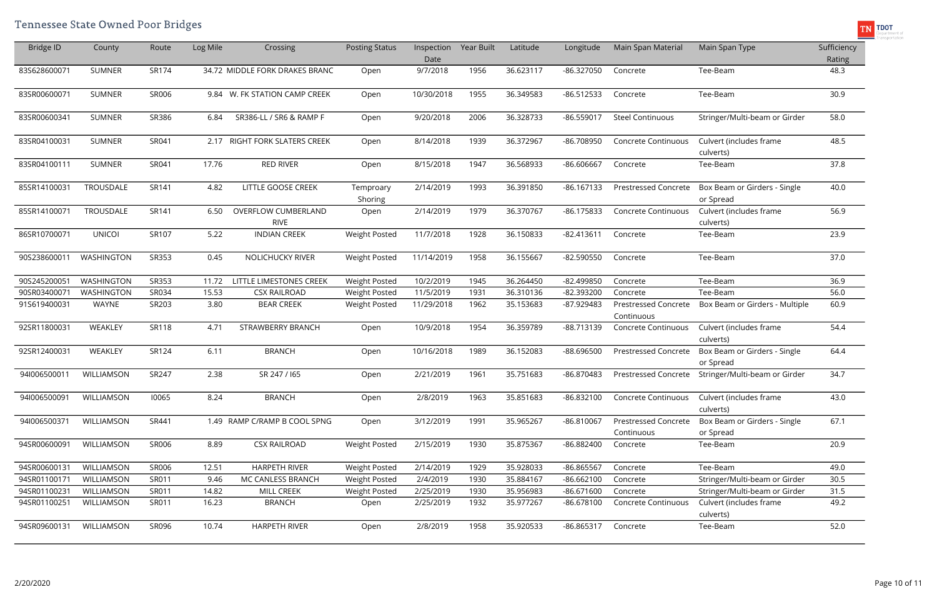| Bridge ID    | County        | Route | Log Mile | Crossing                                  | <b>Posting Status</b> | Inspection<br>Date | <b>Year Built</b> | Latitude  | Longitude    | Main Span Material                        | Main Span Type                            | Sufficiency<br>Rating |
|--------------|---------------|-------|----------|-------------------------------------------|-----------------------|--------------------|-------------------|-----------|--------------|-------------------------------------------|-------------------------------------------|-----------------------|
| 83S628600071 | <b>SUMNER</b> | SR174 |          | 34.72 MIDDLE FORK DRAKES BRANC            | Open                  | 9/7/2018           | 1956              | 36.623117 | -86.327050   | Concrete                                  | Tee-Beam                                  | 48.3                  |
| 83SR00600071 | <b>SUMNER</b> | SR006 |          | 9.84 W. FK STATION CAMP CREEK             | Open                  | 10/30/2018         | 1955              | 36.349583 | -86.512533   | Concrete                                  | Tee-Beam                                  | 30.9                  |
| 83SR00600341 | <b>SUMNER</b> | SR386 | 6.84     | SR386-LL / SR6 & RAMP F                   | Open                  | 9/20/2018          | 2006              | 36.328733 | -86.559017   | Steel Continuous                          | Stringer/Multi-beam or Girder             | 58.0                  |
| 83SR04100031 | <b>SUMNER</b> | SR041 |          | 2.17 RIGHT FORK SLATERS CREEK             | Open                  | 8/14/2018          | 1939              | 36.372967 | -86.708950   | <b>Concrete Continuous</b>                | Culvert (includes frame<br>culverts)      | 48.5                  |
| 83SR04100111 | <b>SUMNER</b> | SR041 | 17.76    | <b>RED RIVER</b>                          | Open                  | 8/15/2018          | 1947              | 36.568933 | -86.606667   | Concrete                                  | Tee-Beam                                  | 37.8                  |
| 85SR14100031 | TROUSDALE     | SR141 | 4.82     | LITTLE GOOSE CREEK                        | Temproary<br>Shoring  | 2/14/2019          | 1993              | 36.391850 | $-86.167133$ | <b>Prestressed Concrete</b>               | Box Beam or Girders - Single<br>or Spread | 40.0                  |
| 85SR14100071 | TROUSDALE     | SR141 | 6.50     | <b>OVERFLOW CUMBERLAND</b><br><b>RIVE</b> | Open                  | 2/14/2019          | 1979              | 36.370767 | $-86.175833$ | <b>Concrete Continuous</b>                | Culvert (includes frame<br>culverts)      | 56.9                  |
| 86SR10700071 | <b>UNICOI</b> | SR107 | 5.22     | <b>INDIAN CREEK</b>                       | <b>Weight Posted</b>  | 11/7/2018          | 1928              | 36.150833 | $-82.413611$ | Concrete                                  | Tee-Beam                                  | 23.9                  |
| 90S238600011 | WASHINGTON    | SR353 | 0.45     | NOLICHUCKY RIVER                          | <b>Weight Posted</b>  | 11/14/2019         | 1958              | 36.155667 | -82.590550   | Concrete                                  | Tee-Beam                                  | 37.0                  |
| 90S245200051 | WASHINGTON    | SR353 | 11.72    | LITTLE LIMESTONES CREEK                   | <b>Weight Posted</b>  | 10/2/2019          | 1945              | 36.264450 | -82.499850   | Concrete                                  | Tee-Beam                                  | 36.9                  |
| 90SR03400071 | WASHINGTON    | SR034 | 15.53    | <b>CSX RAILROAD</b>                       | <b>Weight Posted</b>  | 11/5/2019          | 1931              | 36.310136 | -82.393200   | Concrete                                  | Tee-Beam                                  | 56.0                  |
| 91S619400031 | <b>WAYNE</b>  | SR203 | 3.80     | <b>BEAR CREEK</b>                         | <b>Weight Posted</b>  | 11/29/2018         | 1962              | 35.153683 | -87.929483   | <b>Prestressed Concrete</b><br>Continuous | Box Beam or Girders - Multiple            | 60.9                  |
| 92SR11800031 | WEAKLEY       | SR118 | 4.71     | STRAWBERRY BRANCH                         | Open                  | 10/9/2018          | 1954              | 36.359789 | -88.713139   | Concrete Continuous                       | Culvert (includes frame<br>culverts)      | 54.4                  |
| 92SR12400031 | WEAKLEY       | SR124 | 6.11     | <b>BRANCH</b>                             | Open                  | 10/16/2018         | 1989              | 36.152083 | -88.696500   | <b>Prestressed Concrete</b>               | Box Beam or Girders - Single<br>or Spread | 64.4                  |
| 94l006500011 | WILLIAMSON    | SR247 | 2.38     | SR 247 / 165                              | Open                  | 2/21/2019          | 1961              | 35.751683 | -86.870483   | Prestressed Concrete                      | Stringer/Multi-beam or Girder             | 34.7                  |
| 94l006500091 | WILLIAMSON    | 10065 | 8.24     | <b>BRANCH</b>                             | Open                  | 2/8/2019           | 1963              | 35.851683 | $-86.832100$ | Concrete Continuous                       | Culvert (includes frame<br>culverts)      | 43.0                  |
| 94l006500371 | WILLIAMSON    | SR441 |          | 1.49 RAMP C/RAMP B COOL SPNG              | Open                  | 3/12/2019          | 1991              | 35.965267 | -86.810067   | <b>Prestressed Concrete</b><br>Continuous | Box Beam or Girders - Single<br>or Spread | 67.1                  |
| 94SR00600091 | WILLIAMSON    | SR006 | 8.89     | <b>CSX RAILROAD</b>                       | <b>Weight Posted</b>  | 2/15/2019          | 1930              | 35.875367 | -86.882400   | Concrete                                  | Tee-Beam                                  | 20.9                  |
| 94SR00600131 | WILLIAMSON    | SR006 | 12.51    | <b>HARPETH RIVER</b>                      | <b>Weight Posted</b>  | 2/14/2019          | 1929              | 35.928033 | -86.865567   | Concrete                                  | Tee-Beam                                  | 49.0                  |
| 94SR01100171 | WILLIAMSON    | SR011 | 9.46     | MC CANLESS BRANCH                         | <b>Weight Posted</b>  | 2/4/2019           | 1930              | 35.884167 | -86.662100   | Concrete                                  | Stringer/Multi-beam or Girder             | 30.5                  |
| 94SR01100231 | WILLIAMSON    | SR011 | 14.82    | MILL CREEK                                | <b>Weight Posted</b>  | 2/25/2019          | 1930              | 35.956983 | -86.671600   | Concrete                                  | Stringer/Multi-beam or Girder             | 31.5                  |
| 94SR01100251 | WILLIAMSON    | SR011 | 16.23    | <b>BRANCH</b>                             | Open                  | 2/25/2019          | 1932              | 35.977267 | -86.678100   | Concrete Continuous                       | Culvert (includes frame<br>culverts)      | 49.2                  |
| 94SR09600131 | WILLIAMSON    | SR096 | 10.74    | <b>HARPETH RIVER</b>                      | Open                  | 2/8/2019           | 1958              | 35.920533 | -86.865317   | Concrete                                  | Tee-Beam                                  | 52.0                  |